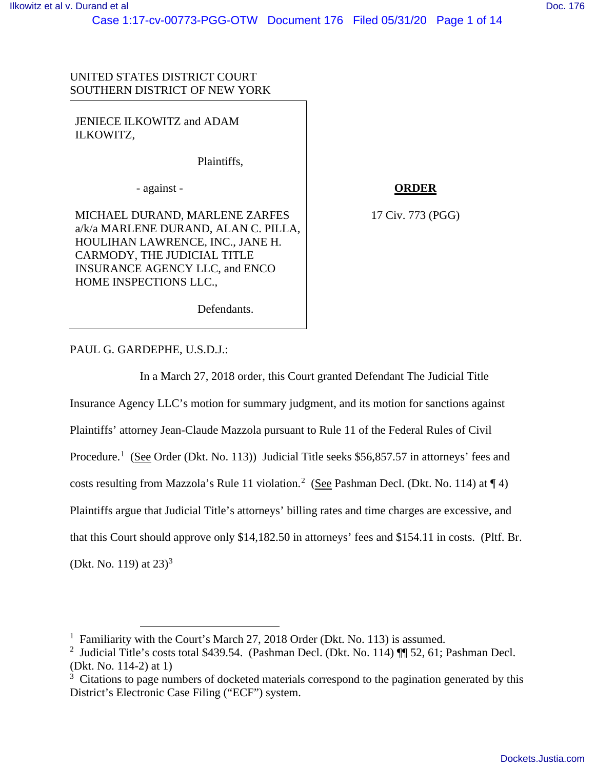UNITED STATES DISTRICT COURT SOUTHERN DISTRICT OF NEW YORK

JENIECE ILKOWITZ and ADAM ILKOWITZ,

Plaintiffs,

- against -

MICHAEL DURAND, MARLENE ZARFES a/k/a MARLENE DURAND, ALAN C. PILLA, HOULIHAN LAWRENCE, INC., JANE H. CARMODY, THE JUDICIAL TITLE INSURANCE AGENCY LLC, and ENCO HOME INSPECTIONS LLC.,

**ORDER**

17 Civ. 773 (PGG)

Defendants.

PAUL G. GARDEPHE, U.S.D.J.:

In a March 27, 2018 order, this Court granted Defendant The Judicial Title

Insurance Agency LLC's motion for summary judgment, and its motion for sanctions against Plaintiffs' attorney Jean-Claude Mazzola pursuant to Rule 11 of the Federal Rules of Civil Procedure.<sup>[1](#page-0-0)</sup> (See Order (Dkt. No. 113)) Judicial Title seeks \$56,857.57 in attorneys' fees and costs resulting from Mazzola's Rule 11 violation.<sup>[2](#page-0-1)</sup> (See Pashman Decl. (Dkt. No. 114) at  $\P$  4) Plaintiffs argue that Judicial Title's attorneys' billing rates and time charges are excessive, and that this Court should approve only \$14,182.50 in attorneys' fees and \$154.11 in costs. (Pltf. Br. (Dkt. No. 119) at  $23<sup>3</sup>$  $23<sup>3</sup>$  $23<sup>3</sup>$ 

<span id="page-0-0"></span><sup>&</sup>lt;sup>1</sup> Familiarity with the Court's March 27, 2018 Order (Dkt. No. 113) is assumed.

<span id="page-0-1"></span><sup>&</sup>lt;sup>2</sup> Judicial Title's costs total \$439.54. (Pashman Decl. (Dkt. No. 114) ¶ 52, 61; Pashman Decl. (Dkt. No. 114-2) at 1)

<span id="page-0-2"></span><sup>&</sup>lt;sup>3</sup> Citations to page numbers of docketed materials correspond to the pagination generated by this District's Electronic Case Filing ("ECF") system.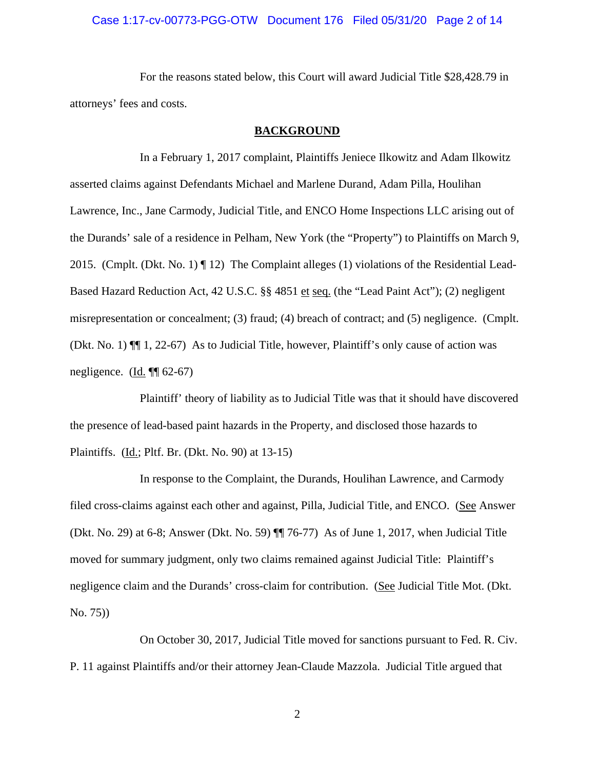# Case 1:17-cv-00773-PGG-OTW Document 176 Filed 05/31/20 Page 2 of 14

For the reasons stated below, this Court will award Judicial Title \$28,428.79 in attorneys' fees and costs.

#### **BACKGROUND**

In a February 1, 2017 complaint, Plaintiffs Jeniece Ilkowitz and Adam Ilkowitz asserted claims against Defendants Michael and Marlene Durand, Adam Pilla, Houlihan Lawrence, Inc., Jane Carmody, Judicial Title, and ENCO Home Inspections LLC arising out of the Durands' sale of a residence in Pelham, New York (the "Property") to Plaintiffs on March 9, 2015. (Cmplt. (Dkt. No. 1)  $\P$  12) The Complaint alleges (1) violations of the Residential Lead-Based Hazard Reduction Act, 42 U.S.C. §§ 4851 et seq. (the "Lead Paint Act"); (2) negligent misrepresentation or concealment; (3) fraud; (4) breach of contract; and (5) negligence. (Cmplt. (Dkt. No. 1) ¶¶ 1, 22-67) As to Judicial Title, however, Plaintiff's only cause of action was negligence.  $(\underline{Id}$ .  $\P$  $(62-67)$ 

Plaintiff' theory of liability as to Judicial Title was that it should have discovered the presence of lead-based paint hazards in the Property, and disclosed those hazards to Plaintiffs. (Id.; Pltf. Br. (Dkt. No. 90) at 13-15)

In response to the Complaint, the Durands, Houlihan Lawrence, and Carmody filed cross-claims against each other and against, Pilla, Judicial Title, and ENCO. (See Answer (Dkt. No. 29) at 6-8; Answer (Dkt. No. 59) ¶¶ 76-77) As of June 1, 2017, when Judicial Title moved for summary judgment, only two claims remained against Judicial Title: Plaintiff's negligence claim and the Durands' cross-claim for contribution. (See Judicial Title Mot. (Dkt. No. 75))

On October 30, 2017, Judicial Title moved for sanctions pursuant to Fed. R. Civ. P. 11 against Plaintiffs and/or their attorney Jean-Claude Mazzola. Judicial Title argued that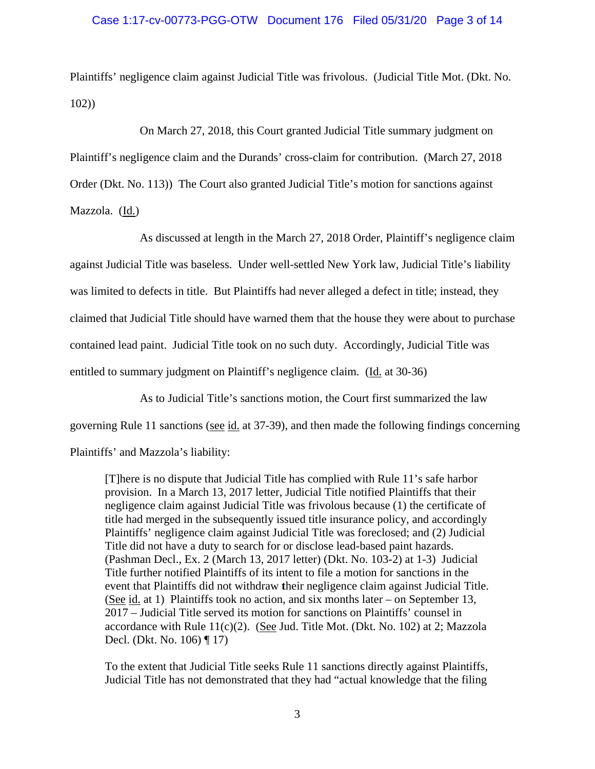Plaintiffs' negligence claim against Judicial Title was frivolous. (Judicial Title Mot. (Dkt. No. 102))

On March 27, 2018, this Court granted Judicial Title summary judgment on Plaintiff's negligence claim and the Durands' cross-claim for contribution. (March 27, 2018 Order (Dkt. No. 113)) The Court also granted Judicial Title's motion for sanctions against Mazzola. (Id.)

As discussed at length in the March 27, 2018 Order, Plaintiff's negligence claim against Judicial Title was baseless. Under well-settled New York law, Judicial Title's liability was limited to defects in title. But Plaintiffs had never alleged a defect in title; instead, they claimed that Judicial Title should have warned them that the house they were about to purchase contained lead paint. Judicial Title took on no such duty. Accordingly, Judicial Title was entitled to summary judgment on Plaintiff's negligence claim. (Id. at 30-36)

As to Judicial Title's sanctions motion, the Court first summarized the law

governing Rule 11 sanctions (see id. at 37-39), and then made the following findings concerning

Plaintiffs' and Mazzola's liability:

[T]here is no dispute that Judicial Title has complied with Rule 11's safe harbor provision. In a March 13, 2017 letter, Judicial Title notified Plaintiffs that their negligence claim against Judicial Title was frivolous because (1) the certificate of title had merged in the subsequently issued title insurance policy, and accordingly Plaintiffs' negligence claim against Judicial Title was foreclosed; and (2) Judicial Title did not have a duty to search for or disclose lead-based paint hazards. (Pashman Decl., Ex. 2 (March 13, 2017 letter) (Dkt. No. 103-2) at 1-3) Judicial Title further notified Plaintiffs of its intent to file a motion for sanctions in the event that Plaintiffs did not withdraw **t**heir negligence claim against Judicial Title. (See id. at 1) Plaintiffs took no action, and six months later – on September 13, 2017 – Judicial Title served its motion for sanctions on Plaintiffs' counsel in accordance with Rule  $11(c)(2)$ . (See Jud. Title Mot. (Dkt. No. 102) at 2; Mazzola Decl. (Dkt. No. 106) ¶ 17)

To the extent that Judicial Title seeks Rule 11 sanctions directly against Plaintiffs, Judicial Title has not demonstrated that they had "actual knowledge that the filing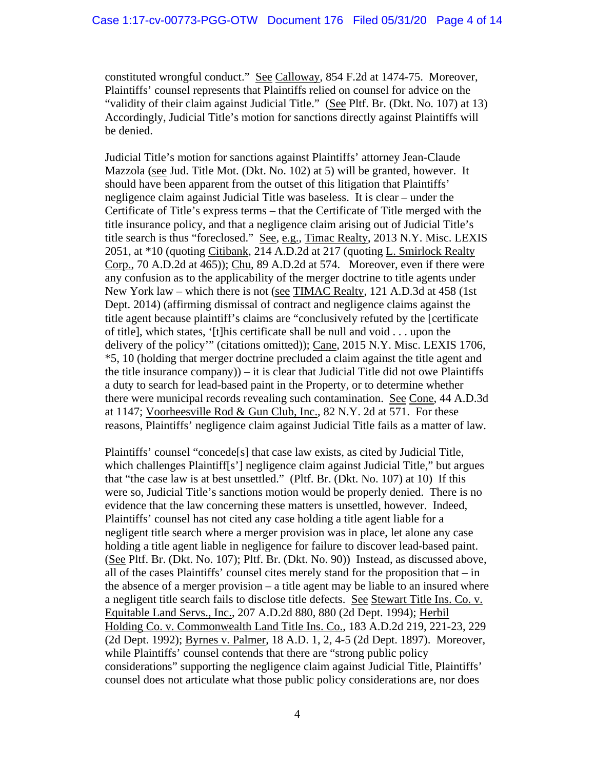constituted wrongful conduct." See Calloway, 854 F.2d at 1474-75. Moreover, Plaintiffs' counsel represents that Plaintiffs relied on counsel for advice on the "validity of their claim against Judicial Title." (See Pltf. Br. (Dkt. No. 107) at 13) Accordingly, Judicial Title's motion for sanctions directly against Plaintiffs will be denied.

Judicial Title's motion for sanctions against Plaintiffs' attorney Jean-Claude Mazzola (see Jud. Title Mot. (Dkt. No. 102) at 5) will be granted, however. It should have been apparent from the outset of this litigation that Plaintiffs' negligence claim against Judicial Title was baseless. It is clear – under the Certificate of Title's express terms – that the Certificate of Title merged with the title insurance policy, and that a negligence claim arising out of Judicial Title's title search is thus "foreclosed." See, e.g., Timac Realty, 2013 N.Y. Misc. LEXIS 2051, at \*10 (quoting Citibank, 214 A.D.2d at 217 (quoting L. Smirlock Realty Corp., 70 A.D.2d at 465)); Chu, 89 A.D.2d at 574. Moreover, even if there were any confusion as to the applicability of the merger doctrine to title agents under New York law – which there is not (see TIMAC Realty, 121 A.D.3d at 458 (1st Dept. 2014) (affirming dismissal of contract and negligence claims against the title agent because plaintiff's claims are "conclusively refuted by the [certificate of title], which states, '[t]his certificate shall be null and void . . . upon the delivery of the policy'" (citations omitted)); Cane, 2015 N.Y. Misc. LEXIS 1706, \*5, 10 (holding that merger doctrine precluded a claim against the title agent and the title insurance company $)$  – it is clear that Judicial Title did not owe Plaintiffs a duty to search for lead-based paint in the Property, or to determine whether there were municipal records revealing such contamination. See Cone, 44 A.D.3d at 1147; Voorheesville Rod & Gun Club, Inc., 82 N.Y. 2d at 571. For these reasons, Plaintiffs' negligence claim against Judicial Title fails as a matter of law.

Plaintiffs' counsel "concede[s] that case law exists, as cited by Judicial Title, which challenges Plaintiff<sup>[s']</sup> negligence claim against Judicial Title," but argues that "the case law is at best unsettled." (Pltf. Br. (Dkt. No. 107) at 10) If this were so, Judicial Title's sanctions motion would be properly denied. There is no evidence that the law concerning these matters is unsettled, however. Indeed, Plaintiffs' counsel has not cited any case holding a title agent liable for a negligent title search where a merger provision was in place, let alone any case holding a title agent liable in negligence for failure to discover lead-based paint. (See Pltf. Br. (Dkt. No. 107); Pltf. Br. (Dkt. No. 90)) Instead, as discussed above, all of the cases Plaintiffs' counsel cites merely stand for the proposition that – in the absence of a merger provision – a title agent may be liable to an insured where a negligent title search fails to disclose title defects. See Stewart Title Ins. Co. v. Equitable Land Servs., Inc., 207 A.D.2d 880, 880 (2d Dept. 1994); Herbil Holding Co. v. Commonwealth Land Title Ins. Co., 183 A.D.2d 219, 221-23, 229 (2d Dept. 1992); Byrnes v. Palmer, 18 A.D. 1, 2, 4-5 (2d Dept. 1897). Moreover, while Plaintiffs' counsel contends that there are "strong public policy" considerations" supporting the negligence claim against Judicial Title, Plaintiffs' counsel does not articulate what those public policy considerations are, nor does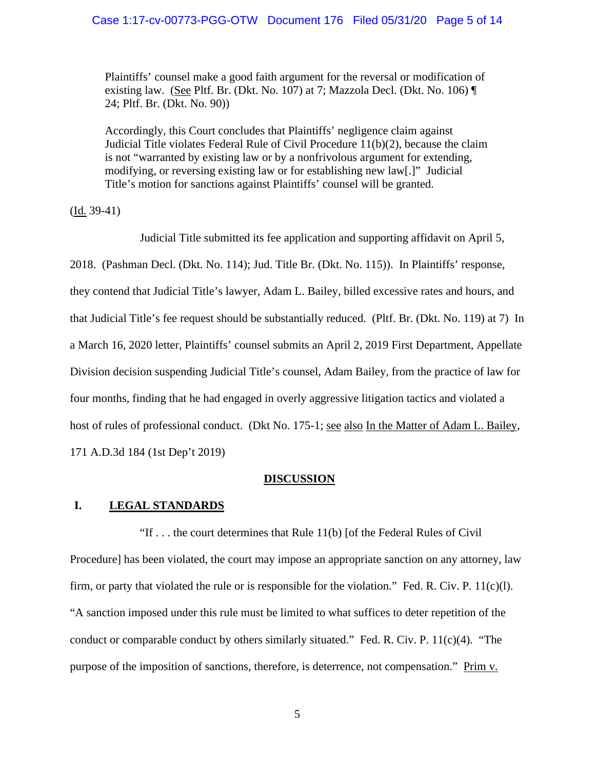Plaintiffs' counsel make a good faith argument for the reversal or modification of existing law. (See Pltf. Br. (Dkt. No. 107) at 7; Mazzola Decl. (Dkt. No. 106) ¶ 24; Pltf. Br. (Dkt. No. 90))

Accordingly, this Court concludes that Plaintiffs' negligence claim against Judicial Title violates Federal Rule of Civil Procedure 11(b)(2), because the claim is not "warranted by existing law or by a nonfrivolous argument for extending, modifying, or reversing existing law or for establishing new law[.]" Judicial Title's motion for sanctions against Plaintiffs' counsel will be granted.

(Id. 39-41)

Judicial Title submitted its fee application and supporting affidavit on April 5, 2018. (Pashman Decl. (Dkt. No. 114); Jud. Title Br. (Dkt. No. 115)). In Plaintiffs' response, they contend that Judicial Title's lawyer, Adam L. Bailey, billed excessive rates and hours, and that Judicial Title's fee request should be substantially reduced. (Pltf. Br. (Dkt. No. 119) at 7) In a March 16, 2020 letter, Plaintiffs' counsel submits an April 2, 2019 First Department, Appellate Division decision suspending Judicial Title's counsel, Adam Bailey, from the practice of law for four months, finding that he had engaged in overly aggressive litigation tactics and violated a host of rules of professional conduct. (Dkt No. 175-1; see also In the Matter of Adam L. Bailey, 171 A.D.3d 184 (1st Dep't 2019)

#### **DISCUSSION**

# **I. LEGAL STANDARDS**

"If . . . the court determines that Rule 11(b) [of the Federal Rules of Civil Procedure] has been violated, the court may impose an appropriate sanction on any attorney, law firm, or party that violated the rule or is responsible for the violation." Fed. R. Civ. P.  $11(c)(1)$ . "A sanction imposed under this rule must be limited to what suffices to deter repetition of the conduct or comparable conduct by others similarly situated." Fed. R. Civ. P. 11(c)(4). "The purpose of the imposition of sanctions, therefore, is deterrence, not compensation." Prim v.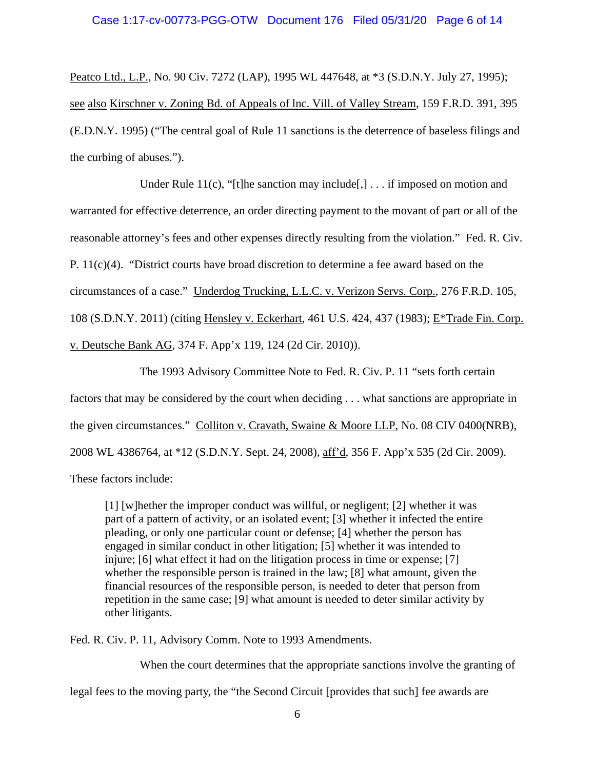# Case 1:17-cv-00773-PGG-OTW Document 176 Filed 05/31/20 Page 6 of 14

Peatco Ltd., L.P., No. 90 Civ. 7272 (LAP), 1995 WL 447648, at \*3 (S.D.N.Y. July 27, 1995); see also Kirschner v. Zoning Bd. of Appeals of lnc. Vill. of Valley Stream, 159 F.R.D. 391, 395 (E.D.N.Y. 1995) ("The central goal of Rule 11 sanctions is the deterrence of baseless filings and the curbing of abuses.").

Under Rule 11(c), "[t]he sanction may include[,]  $\ldots$  if imposed on motion and warranted for effective deterrence, an order directing payment to the movant of part or all of the reasonable attorney's fees and other expenses directly resulting from the violation." Fed. R. Civ. P.  $11(c)(4)$ . "District courts have broad discretion to determine a fee award based on the circumstances of a case." Underdog Trucking, L.L.C. v. Verizon Servs. Corp., 276 F.R.D. 105, 108 (S.D.N.Y. 2011) (citing Hensley v. Eckerhart, 461 U.S. 424, 437 (1983); E\*Trade Fin. Corp. v. Deutsche Bank AG, 374 F. App'x 119, 124 (2d Cir. 2010)).

The 1993 Advisory Committee Note to Fed. R. Civ. P. 11 "sets forth certain factors that may be considered by the court when deciding . . . what sanctions are appropriate in the given circumstances." Colliton v. Cravath, Swaine & Moore LLP, No. 08 CIV 0400(NRB), 2008 WL 4386764, at \*12 (S.D.N.Y. Sept. 24, 2008), aff'd, 356 F. App'x 535 (2d Cir. 2009). These factors include:

[1] [w]hether the improper conduct was willful, or negligent; [2] whether it was part of a pattern of activity, or an isolated event; [3] whether it infected the entire pleading, or only one particular count or defense; [4] whether the person has engaged in similar conduct in other litigation; [5] whether it was intended to injure; [6] what effect it had on the litigation process in time or expense; [7] whether the responsible person is trained in the law; [8] what amount, given the financial resources of the responsible person, is needed to deter that person from repetition in the same case; [9] what amount is needed to deter similar activity by other litigants.

Fed. R. Civ. P. 11, Advisory Comm. Note to 1993 Amendments.

When the court determines that the appropriate sanctions involve the granting of

legal fees to the moving party, the "the Second Circuit [provides that such] fee awards are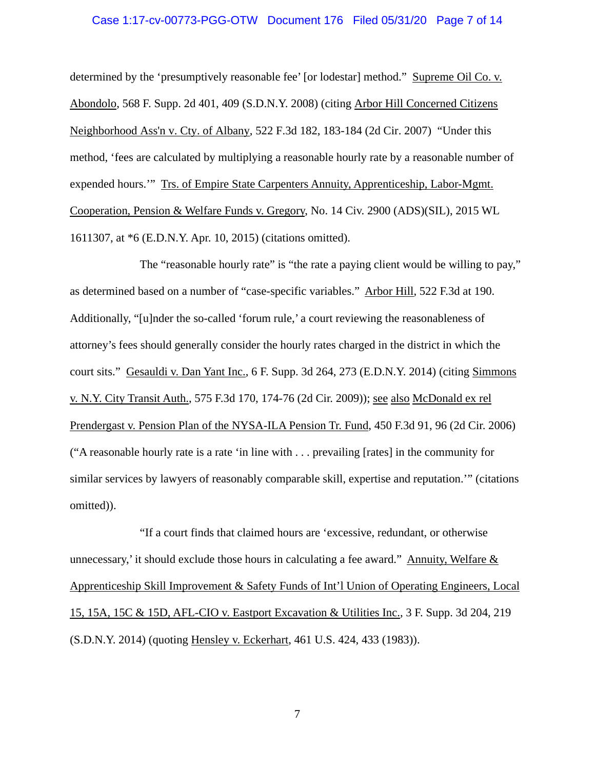# Case 1:17-cv-00773-PGG-OTW Document 176 Filed 05/31/20 Page 7 of 14

determined by the 'presumptively reasonable fee' [or lodestar] method." Supreme Oil Co. v. Abondolo, 568 F. Supp. 2d 401, 409 (S.D.N.Y. 2008) (citing Arbor Hill Concerned Citizens Neighborhood Ass'n v. Cty. of Albany, 522 F.3d 182, 183-184 (2d Cir. 2007) "Under this method, 'fees are calculated by multiplying a reasonable hourly rate by a reasonable number of expended hours.'" Trs. of Empire State Carpenters Annuity, Apprenticeship, Labor-Mgmt. Cooperation, Pension & Welfare Funds v. Gregory, No. 14 Civ. 2900 (ADS)(SIL), 2015 WL 1611307, at \*6 (E.D.N.Y. Apr. 10, 2015) (citations omitted).

The "reasonable hourly rate" is "the rate a paying client would be willing to pay," as determined based on a number of "case-specific variables." Arbor Hill, 522 F.3d at 190. Additionally, "[u]nder the so-called 'forum rule,' a court reviewing the reasonableness of attorney's fees should generally consider the hourly rates charged in the district in which the court sits." Gesauldi v. Dan Yant Inc., 6 F. Supp. 3d 264, 273 (E.D.N.Y. 2014) (citing Simmons v. N.Y. City Transit Auth., 575 F.3d 170, 174-76 (2d Cir. 2009)); see also McDonald ex rel Prendergast v. Pension Plan of the NYSA-ILA Pension Tr. Fund, 450 F.3d 91, 96 (2d Cir. 2006) ("A reasonable hourly rate is a rate 'in line with . . . prevailing [rates] in the community for similar services by lawyers of reasonably comparable skill, expertise and reputation.'" (citations omitted)).

"If a court finds that claimed hours are 'excessive, redundant, or otherwise unnecessary,' it should exclude those hours in calculating a fee award." Annuity, Welfare & Apprenticeship Skill Improvement & Safety Funds of Int'l Union of Operating Engineers, Local 15, 15A, 15C & 15D, AFL-CIO v. Eastport Excavation & Utilities Inc., 3 F. Supp. 3d 204, 219 (S.D.N.Y. 2014) (quoting Hensley v. Eckerhart, 461 U.S. 424, 433 (1983)).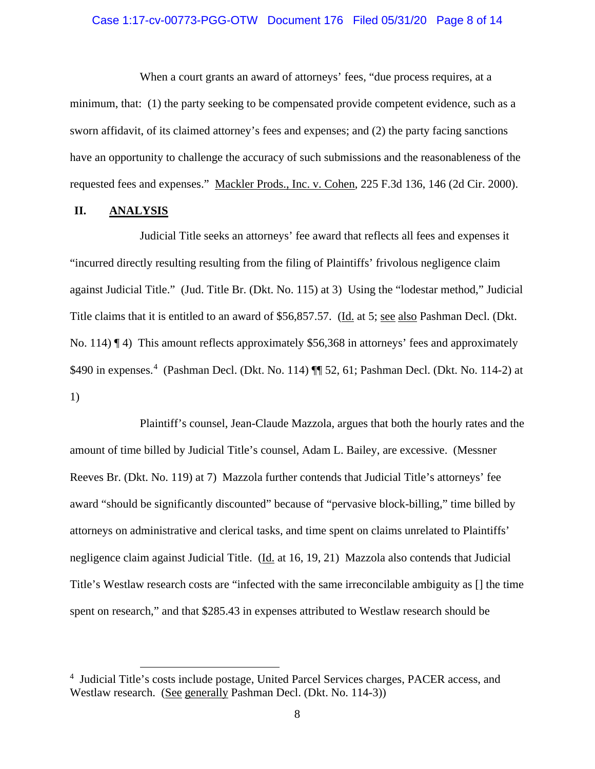# Case 1:17-cv-00773-PGG-OTW Document 176 Filed 05/31/20 Page 8 of 14

When a court grants an award of attorneys' fees, "due process requires, at a minimum, that: (1) the party seeking to be compensated provide competent evidence, such as a sworn affidavit, of its claimed attorney's fees and expenses; and (2) the party facing sanctions have an opportunity to challenge the accuracy of such submissions and the reasonableness of the requested fees and expenses." Mackler Prods., Inc. v. Cohen, 225 F.3d 136, 146 (2d Cir. 2000).

# **II. ANALYSIS**

Judicial Title seeks an attorneys' fee award that reflects all fees and expenses it "incurred directly resulting resulting from the filing of Plaintiffs' frivolous negligence claim against Judicial Title." (Jud. Title Br. (Dkt. No. 115) at 3) Using the "lodestar method," Judicial Title claims that it is entitled to an award of \$56,857.57. (Id. at 5; see also Pashman Decl. (Dkt. No. 114)  $\P$  4) This amount reflects approximately \$56,368 in attorneys' fees and approximately \$[4](#page-7-0)90 in expenses.<sup>4</sup> (Pashman Decl. (Dkt. No. 114) ¶ 52, 61; Pashman Decl. (Dkt. No. 114-2) at 1)

Plaintiff's counsel, Jean-Claude Mazzola, argues that both the hourly rates and the amount of time billed by Judicial Title's counsel, Adam L. Bailey, are excessive. (Messner Reeves Br. (Dkt. No. 119) at 7) Mazzola further contends that Judicial Title's attorneys' fee award "should be significantly discounted" because of "pervasive block-billing," time billed by attorneys on administrative and clerical tasks, and time spent on claims unrelated to Plaintiffs' negligence claim against Judicial Title. (Id. at 16, 19, 21) Mazzola also contends that Judicial Title's Westlaw research costs are "infected with the same irreconcilable ambiguity as [] the time spent on research," and that \$285.43 in expenses attributed to Westlaw research should be

<span id="page-7-0"></span><sup>&</sup>lt;sup>4</sup> Judicial Title's costs include postage, United Parcel Services charges, PACER access, and Westlaw research. (See generally Pashman Decl. (Dkt. No. 114-3))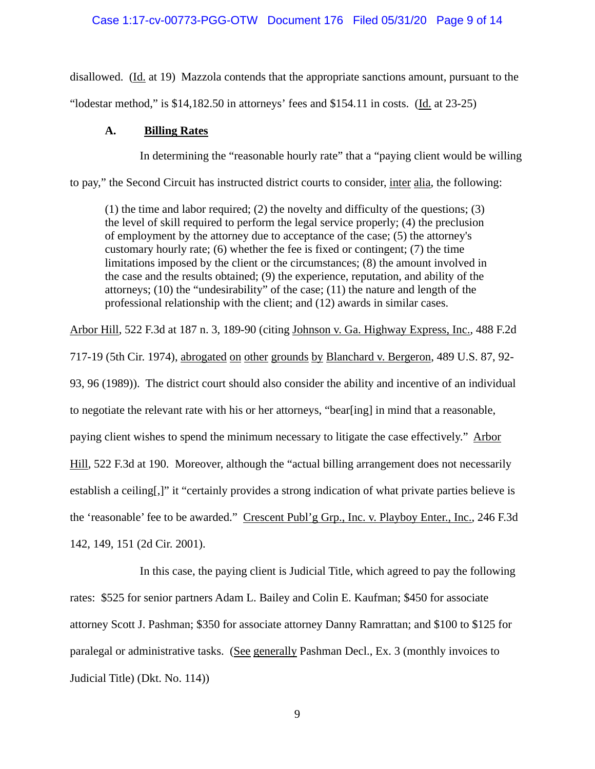# Case 1:17-cv-00773-PGG-OTW Document 176 Filed 05/31/20 Page 9 of 14

disallowed. (Id. at 19) Mazzola contends that the appropriate sanctions amount, pursuant to the "lodestar method," is  $$14,182.50$  in attorneys' fees and  $$154.11$  in costs. (Id. at  $23-25$ )

# **A. Billing Rates**

In determining the "reasonable hourly rate" that a "paying client would be willing

to pay," the Second Circuit has instructed district courts to consider, inter alia, the following:

(1) the time and labor required; (2) the novelty and difficulty of the questions; (3) the level of skill required to perform the legal service properly; (4) the preclusion of employment by the attorney due to acceptance of the case; (5) the attorney's customary hourly rate; (6) whether the fee is fixed or contingent; (7) the time limitations imposed by the client or the circumstances; (8) the amount involved in the case and the results obtained; (9) the experience, reputation, and ability of the attorneys; (10) the "undesirability" of the case; (11) the nature and length of the professional relationship with the client; and (12) awards in similar cases.

Arbor Hill, 522 F.3d at 187 n. 3, 189-90 (citing Johnson v. Ga. Highway Express, Inc., 488 F.2d 717-19 (5th Cir. 1974), abrogated on other grounds by Blanchard v. Bergeron, 489 U.S. 87, 92- 93, 96 (1989)). The district court should also consider the ability and incentive of an individual to negotiate the relevant rate with his or her attorneys, "bear[ing] in mind that a reasonable, paying client wishes to spend the minimum necessary to litigate the case effectively." Arbor

Hill, 522 F.3d at 190. Moreover, although the "actual billing arrangement does not necessarily

establish a ceiling[,]" it "certainly provides a strong indication of what private parties believe is

the 'reasonable' fee to be awarded." Crescent Publ'g Grp., Inc. v. Playboy Enter., Inc., 246 F.3d 142, 149, 151 (2d Cir. 2001).

In this case, the paying client is Judicial Title, which agreed to pay the following rates: \$525 for senior partners Adam L. Bailey and Colin E. Kaufman; \$450 for associate attorney Scott J. Pashman; \$350 for associate attorney Danny Ramrattan; and \$100 to \$125 for paralegal or administrative tasks. (See generally Pashman Decl., Ex. 3 (monthly invoices to Judicial Title) (Dkt. No. 114))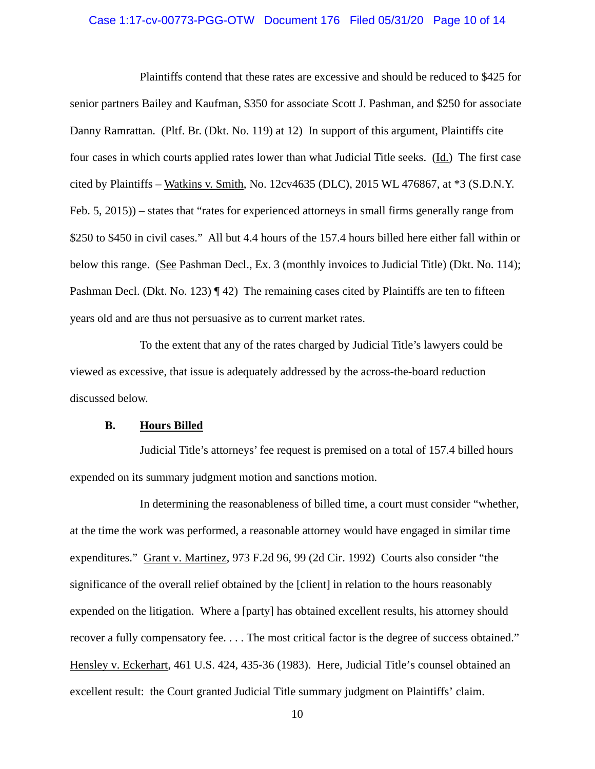# Case 1:17-cv-00773-PGG-OTW Document 176 Filed 05/31/20 Page 10 of 14

Plaintiffs contend that these rates are excessive and should be reduced to \$425 for senior partners Bailey and Kaufman, \$350 for associate Scott J. Pashman, and \$250 for associate Danny Ramrattan. (Pltf. Br. (Dkt. No. 119) at 12) In support of this argument, Plaintiffs cite four cases in which courts applied rates lower than what Judicial Title seeks. (Id.) The first case cited by Plaintiffs – Watkins v. Smith, No. 12cv4635 (DLC), 2015 WL 476867, at \*3 (S.D.N.Y. Feb. 5, 2015)) – states that "rates for experienced attorneys in small firms generally range from \$250 to \$450 in civil cases." All but 4.4 hours of the 157.4 hours billed here either fall within or below this range. (See Pashman Decl., Ex. 3 (monthly invoices to Judicial Title) (Dkt. No. 114); Pashman Decl. (Dkt. No. 123) ¶ 42) The remaining cases cited by Plaintiffs are ten to fifteen years old and are thus not persuasive as to current market rates.

To the extent that any of the rates charged by Judicial Title's lawyers could be viewed as excessive, that issue is adequately addressed by the across-the-board reduction discussed below.

# **B. Hours Billed**

Judicial Title's attorneys' fee request is premised on a total of 157.4 billed hours expended on its summary judgment motion and sanctions motion.

In determining the reasonableness of billed time, a court must consider "whether, at the time the work was performed, a reasonable attorney would have engaged in similar time expenditures." Grant v. Martinez, 973 F.2d 96, 99 (2d Cir. 1992) Courts also consider "the significance of the overall relief obtained by the [client] in relation to the hours reasonably expended on the litigation. Where a [party] has obtained excellent results, his attorney should recover a fully compensatory fee. . . . The most critical factor is the degree of success obtained." Hensley v. Eckerhart, 461 U.S. 424, 435-36 (1983). Here, Judicial Title's counsel obtained an excellent result: the Court granted Judicial Title summary judgment on Plaintiffs' claim.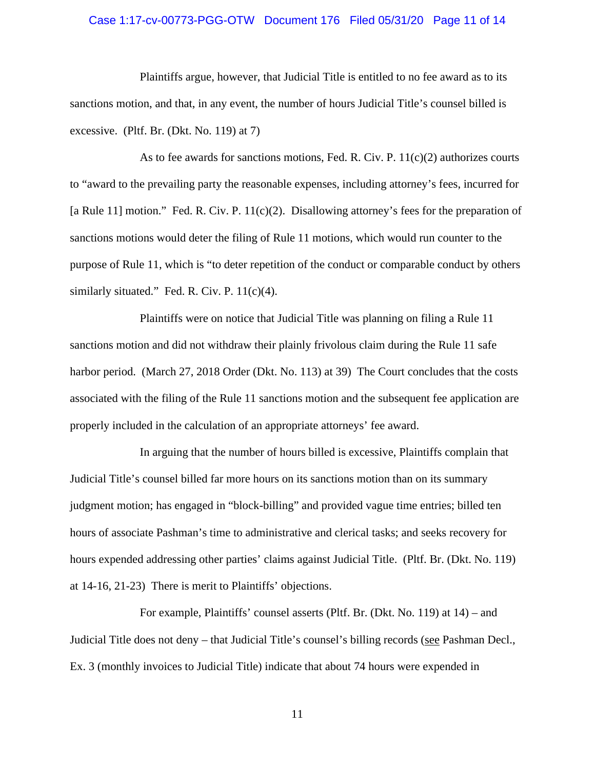# Case 1:17-cv-00773-PGG-OTW Document 176 Filed 05/31/20 Page 11 of 14

Plaintiffs argue, however, that Judicial Title is entitled to no fee award as to its sanctions motion, and that, in any event, the number of hours Judicial Title's counsel billed is excessive. (Pltf. Br. (Dkt. No. 119) at 7)

As to fee awards for sanctions motions, Fed. R. Civ. P.  $11(c)(2)$  authorizes courts to "award to the prevailing party the reasonable expenses, including attorney's fees, incurred for [a Rule 11] motion." Fed. R. Civ. P.  $11(c)(2)$ . Disallowing attorney's fees for the preparation of sanctions motions would deter the filing of Rule 11 motions, which would run counter to the purpose of Rule 11, which is "to deter repetition of the conduct or comparable conduct by others similarly situated." Fed. R. Civ. P. 11(c)(4).

Plaintiffs were on notice that Judicial Title was planning on filing a Rule 11 sanctions motion and did not withdraw their plainly frivolous claim during the Rule 11 safe harbor period. (March 27, 2018 Order (Dkt. No. 113) at 39) The Court concludes that the costs associated with the filing of the Rule 11 sanctions motion and the subsequent fee application are properly included in the calculation of an appropriate attorneys' fee award.

In arguing that the number of hours billed is excessive, Plaintiffs complain that Judicial Title's counsel billed far more hours on its sanctions motion than on its summary judgment motion; has engaged in "block-billing" and provided vague time entries; billed ten hours of associate Pashman's time to administrative and clerical tasks; and seeks recovery for hours expended addressing other parties' claims against Judicial Title. (Pltf. Br. (Dkt. No. 119) at 14-16, 21-23) There is merit to Plaintiffs' objections.

For example, Plaintiffs' counsel asserts (Pltf. Br. (Dkt. No. 119) at 14) – and Judicial Title does not deny – that Judicial Title's counsel's billing records (see Pashman Decl., Ex. 3 (monthly invoices to Judicial Title) indicate that about 74 hours were expended in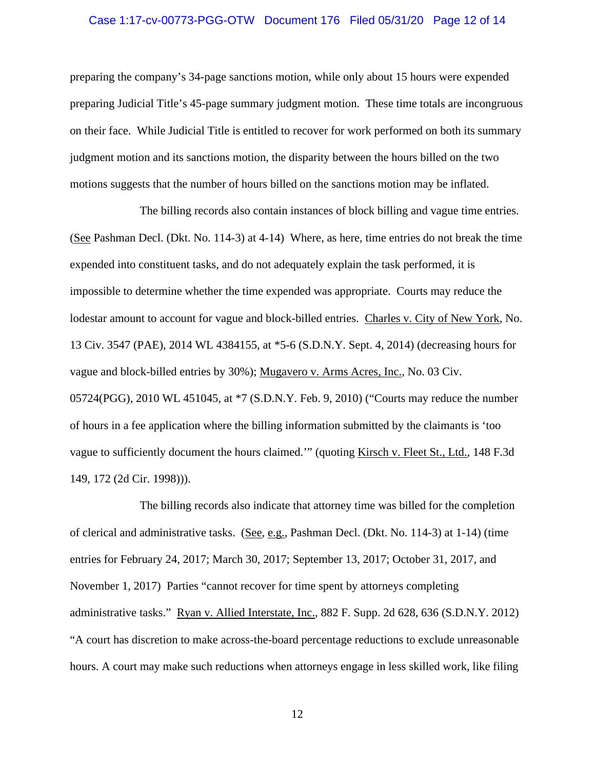# Case 1:17-cv-00773-PGG-OTW Document 176 Filed 05/31/20 Page 12 of 14

preparing the company's 34-page sanctions motion, while only about 15 hours were expended preparing Judicial Title's 45-page summary judgment motion. These time totals are incongruous on their face. While Judicial Title is entitled to recover for work performed on both its summary judgment motion and its sanctions motion, the disparity between the hours billed on the two motions suggests that the number of hours billed on the sanctions motion may be inflated.

The billing records also contain instances of block billing and vague time entries. (See Pashman Decl. (Dkt. No. 114-3) at 4-14) Where, as here, time entries do not break the time expended into constituent tasks, and do not adequately explain the task performed, it is impossible to determine whether the time expended was appropriate. Courts may reduce the lodestar amount to account for vague and block-billed entries. Charles v. City of New York, No. 13 Civ. 3547 (PAE), 2014 WL 4384155, at \*5-6 (S.D.N.Y. Sept. 4, 2014) (decreasing hours for vague and block-billed entries by 30%); Mugavero v. Arms Acres, Inc., No. 03 Civ. 05724(PGG), 2010 WL 451045, at \*7 (S.D.N.Y. Feb. 9, 2010) ("Courts may reduce the number of hours in a fee application where the billing information submitted by the claimants is 'too vague to sufficiently document the hours claimed.'" (quoting Kirsch v. Fleet St., Ltd.*,* 148 F.3d 149, 172 (2d Cir. 1998))).

The billing records also indicate that attorney time was billed for the completion of clerical and administrative tasks. (See, e.g., Pashman Decl. (Dkt. No. 114-3) at 1-14) (time entries for February 24, 2017; March 30, 2017; September 13, 2017; October 31, 2017, and November 1, 2017) Parties "cannot recover for time spent by attorneys completing administrative tasks." Ryan v. Allied Interstate, Inc., 882 F. Supp. 2d 628, 636 (S.D.N.Y. 2012) "A court has discretion to make across-the-board percentage reductions to exclude unreasonable hours. A court may make such reductions when attorneys engage in less skilled work, like filing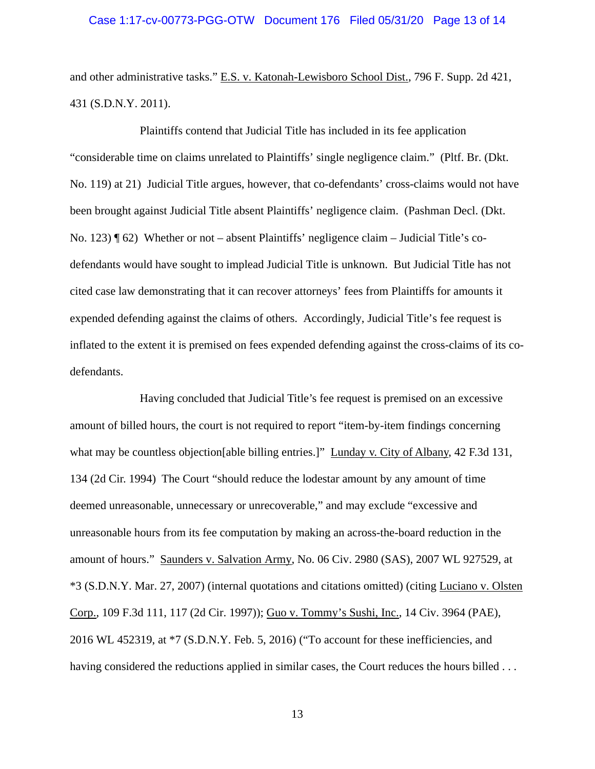# Case 1:17-cv-00773-PGG-OTW Document 176 Filed 05/31/20 Page 13 of 14

and other administrative tasks." E.S. v. Katonah-Lewisboro School Dist., 796 F. Supp. 2d 421, 431 (S.D.N.Y. 2011).

Plaintiffs contend that Judicial Title has included in its fee application "considerable time on claims unrelated to Plaintiffs' single negligence claim." (Pltf. Br. (Dkt. No. 119) at 21) Judicial Title argues, however, that co-defendants' cross-claims would not have been brought against Judicial Title absent Plaintiffs' negligence claim. (Pashman Decl. (Dkt. No. 123) ¶ 62) Whether or not – absent Plaintiffs' negligence claim – Judicial Title's codefendants would have sought to implead Judicial Title is unknown. But Judicial Title has not cited case law demonstrating that it can recover attorneys' fees from Plaintiffs for amounts it expended defending against the claims of others. Accordingly, Judicial Title's fee request is inflated to the extent it is premised on fees expended defending against the cross-claims of its codefendants.

Having concluded that Judicial Title's fee request is premised on an excessive amount of billed hours, the court is not required to report "item-by-item findings concerning what may be countless objection[able billing entries.]" Lunday v. City of Albany, 42 F.3d 131, 134 (2d Cir. 1994) The Court "should reduce the lodestar amount by any amount of time deemed unreasonable, unnecessary or unrecoverable," and may exclude "excessive and unreasonable hours from its fee computation by making an across-the-board reduction in the amount of hours." Saunders v. Salvation Army, No. 06 Civ. 2980 (SAS), 2007 WL 927529, at \*3 (S.D.N.Y. Mar. 27, 2007) (internal quotations and citations omitted) (citing Luciano v. Olsten Corp., 109 F.3d 111, 117 (2d Cir. 1997)); Guo v. Tommy's Sushi, Inc., 14 Civ. 3964 (PAE), 2016 WL 452319, at \*7 (S.D.N.Y. Feb. 5, 2016) ("To account for these inefficiencies, and having considered the reductions applied in similar cases, the Court reduces the hours billed ...